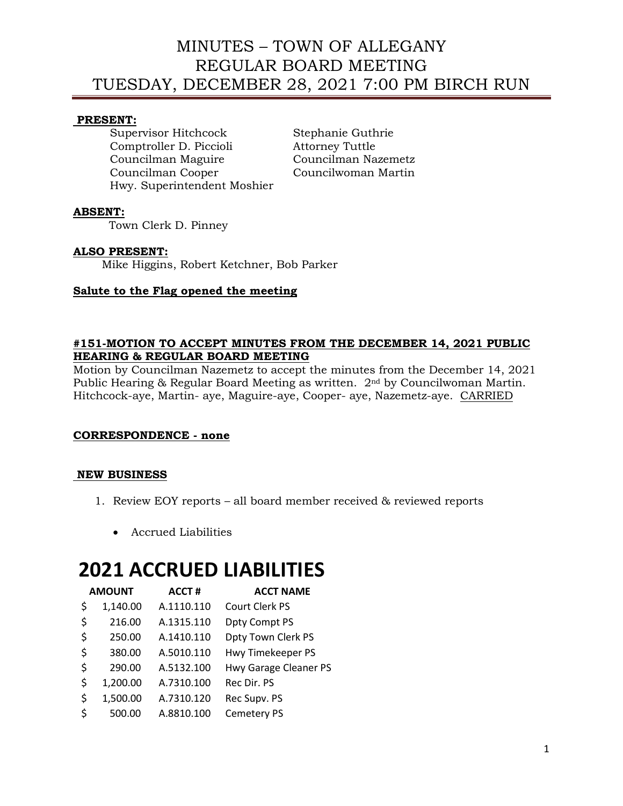### **PRESENT:**

Supervisor Hitchcock Stephanie Guthrie Comptroller D. Piccioli Attorney Tuttle Councilman Maguire Councilman Nazemetz Councilman Cooper Councilwoman Martin Hwy. Superintendent Moshier

## **ABSENT:**

Town Clerk D. Pinney

## **ALSO PRESENT:**

Mike Higgins, Robert Ketchner, Bob Parker

## **Salute to the Flag opened the meeting**

#### **#151-MOTION TO ACCEPT MINUTES FROM THE DECEMBER 14, 2021 PUBLIC HEARING & REGULAR BOARD MEETING**

Motion by Councilman Nazemetz to accept the minutes from the December 14, 2021 Public Hearing & Regular Board Meeting as written. 2nd by Councilwoman Martin. Hitchcock-aye, Martin- aye, Maguire-aye, Cooper- aye, Nazemetz-aye. CARRIED

### **CORRESPONDENCE - none**

### **NEW BUSINESS**

- 1. Review EOY reports all board member received & reviewed reports
	- Accrued Liabilities

# **2021 ACCRUED LIABILITIES**

| <b>AMOUNT</b>  | <b>ACCT#</b> | <b>ACCT NAME</b>          |
|----------------|--------------|---------------------------|
| \$<br>1,140.00 | A.1110.110   | Court Clerk PS            |
| \$<br>216.00   | A.1315.110   | Dpty Compt PS             |
| \$<br>250.00   | A.1410.110   | <b>Dpty Town Clerk PS</b> |
| \$<br>380.00   | A.5010.110   | Hwy Timekeeper PS         |
| \$<br>290.00   | A.5132.100   | Hwy Garage Cleaner PS     |
| \$<br>1,200.00 | A.7310.100   | Rec Dir. PS               |
| \$<br>1,500.00 | A.7310.120   | Rec Supv. PS              |
| \$<br>500.00   | A.8810.100   | Cemetery PS               |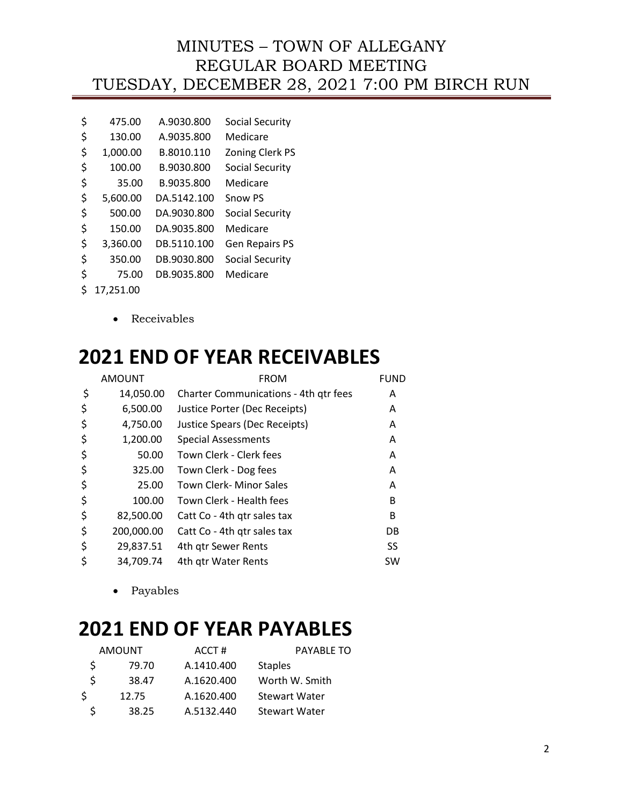| \$<br>475.00   | A.9030.800  | Social Security        |
|----------------|-------------|------------------------|
| \$<br>130.00   | A.9035.800  | Medicare               |
| \$<br>1,000.00 | B.8010.110  | <b>Zoning Clerk PS</b> |
| \$<br>100.00   | B.9030.800  | <b>Social Security</b> |
| \$<br>35.00    | B.9035.800  | Medicare               |
| \$<br>5,600.00 | DA.5142.100 | <b>Snow PS</b>         |
| \$<br>500.00   | DA.9030.800 | <b>Social Security</b> |
| \$<br>150.00   | DA.9035.800 | Medicare               |
| \$<br>3,360.00 | DB.5110.100 | <b>Gen Repairs PS</b>  |
| \$<br>350.00   | DB.9030.800 | Social Security        |
| \$<br>75.00    | DB.9035.800 | Medicare               |
| 17.251.00      |             |                        |

• Receivables

# **2021 END OF YEAR RECEIVABLES**

| <b>AMOUNT</b>    | <b>FROM</b>                                  | <b>FUND</b> |
|------------------|----------------------------------------------|-------------|
| \$<br>14,050.00  | <b>Charter Communications - 4th gtr fees</b> | A           |
| \$<br>6,500.00   | Justice Porter (Dec Receipts)                | A           |
| \$<br>4,750.00   | Justice Spears (Dec Receipts)                | A           |
| \$<br>1,200.00   | <b>Special Assessments</b>                   | A           |
| \$<br>50.00      | Town Clerk - Clerk fees                      | A           |
| \$<br>325.00     | Town Clerk - Dog fees                        | A           |
| \$<br>25.00      | <b>Town Clerk- Minor Sales</b>               | A           |
| \$<br>100.00     | Town Clerk - Health fees                     | в           |
| \$<br>82,500.00  | Catt Co - 4th gtr sales tax                  | в           |
| \$<br>200,000.00 | Catt Co - 4th gtr sales tax                  | DB          |
| \$<br>29,837.51  | 4th qtr Sewer Rents                          | SS          |
| 34,709.74        | 4th gtr Water Rents                          | SW          |

• Payables

# **2021 END OF YEAR PAYABLES**

|    | <b>AMOUNT</b> | ACCT#      | PAYABLE TO           |
|----|---------------|------------|----------------------|
| S  | 79.70         | A.1410.400 | <b>Staples</b>       |
| S  | 38.47         | A.1620.400 | Worth W. Smith       |
| S. | 12.75         | A.1620.400 | <b>Stewart Water</b> |
|    | 38.25         | A.5132.440 | <b>Stewart Water</b> |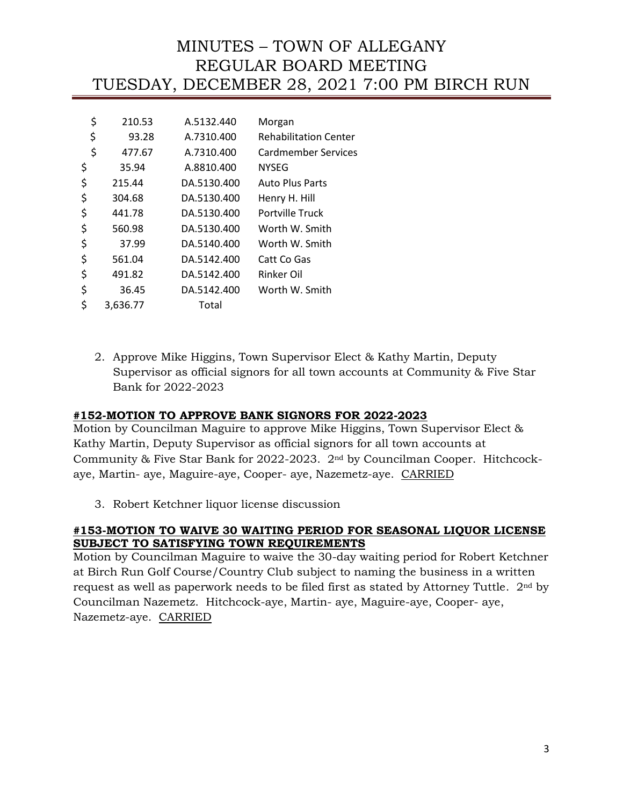| \$<br>210.53   | A.5132.440  | Morgan                       |
|----------------|-------------|------------------------------|
| \$<br>93.28    | A.7310.400  | <b>Rehabilitation Center</b> |
| \$<br>477.67   | A.7310.400  | Cardmember Services          |
| \$<br>35.94    | A.8810.400  | <b>NYSEG</b>                 |
| \$<br>215.44   | DA.5130.400 | <b>Auto Plus Parts</b>       |
| \$<br>304.68   | DA.5130.400 | Henry H. Hill                |
| \$<br>441.78   | DA.5130.400 | Portville Truck              |
| \$<br>560.98   | DA.5130.400 | Worth W. Smith               |
| \$<br>37.99    | DA.5140.400 | Worth W. Smith               |
| \$<br>561.04   | DA.5142.400 | Catt Co Gas                  |
| \$<br>491.82   | DA.5142.400 | Rinker Oil                   |
| \$<br>36.45    | DA.5142.400 | Worth W. Smith               |
| \$<br>3.636.77 | Total       |                              |

2. Approve Mike Higgins, Town Supervisor Elect & Kathy Martin, Deputy Supervisor as official signors for all town accounts at Community & Five Star Bank for 2022-2023

### **#152-MOTION TO APPROVE BANK SIGNORS FOR 2022-2023**

Motion by Councilman Maguire to approve Mike Higgins, Town Supervisor Elect & Kathy Martin, Deputy Supervisor as official signors for all town accounts at Community & Five Star Bank for 2022-2023. 2nd by Councilman Cooper. Hitchcockaye, Martin- aye, Maguire-aye, Cooper- aye, Nazemetz-aye. CARRIED

3. Robert Ketchner liquor license discussion

### **#153-MOTION TO WAIVE 30 WAITING PERIOD FOR SEASONAL LIQUOR LICENSE SUBJECT TO SATISFYING TOWN REQUIREMENTS**

Motion by Councilman Maguire to waive the 30-day waiting period for Robert Ketchner at Birch Run Golf Course/Country Club subject to naming the business in a written request as well as paperwork needs to be filed first as stated by Attorney Tuttle. 2nd by Councilman Nazemetz. Hitchcock-aye, Martin- aye, Maguire-aye, Cooper- aye, Nazemetz-aye. CARRIED